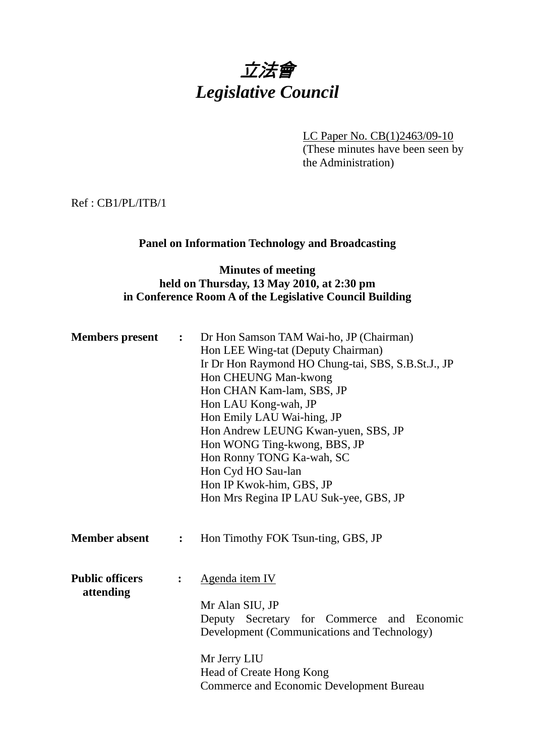# 立法會 *Legislative Council*

LC Paper No. CB(1)2463/09-10 (These minutes have been seen by the Administration)

Ref : CB1/PL/ITB/1

## **Panel on Information Technology and Broadcasting**

## **Minutes of meeting held on Thursday, 13 May 2010, at 2:30 pm in Conference Room A of the Legislative Council Building**

| <b>Members</b> present              | $\ddot{\bullet}$ | Dr Hon Samson TAM Wai-ho, JP (Chairman)<br>Hon LEE Wing-tat (Deputy Chairman)<br>Ir Dr Hon Raymond HO Chung-tai, SBS, S.B.St.J., JP<br>Hon CHEUNG Man-kwong<br>Hon CHAN Kam-lam, SBS, JP<br>Hon LAU Kong-wah, JP<br>Hon Emily LAU Wai-hing, JP<br>Hon Andrew LEUNG Kwan-yuen, SBS, JP<br>Hon WONG Ting-kwong, BBS, JP<br>Hon Ronny TONG Ka-wah, SC<br>Hon Cyd HO Sau-lan<br>Hon IP Kwok-him, GBS, JP<br>Hon Mrs Regina IP LAU Suk-yee, GBS, JP |
|-------------------------------------|------------------|------------------------------------------------------------------------------------------------------------------------------------------------------------------------------------------------------------------------------------------------------------------------------------------------------------------------------------------------------------------------------------------------------------------------------------------------|
| <b>Member absent</b>                | :                | Hon Timothy FOK Tsun-ting, GBS, JP                                                                                                                                                                                                                                                                                                                                                                                                             |
| <b>Public officers</b><br>attending |                  | Agenda item IV<br>Mr Alan SIU, JP<br>Deputy Secretary for Commerce and Economic<br>Development (Communications and Technology)<br>Mr Jerry LIU<br>Head of Create Hong Kong<br><b>Commerce and Economic Development Bureau</b>                                                                                                                                                                                                                  |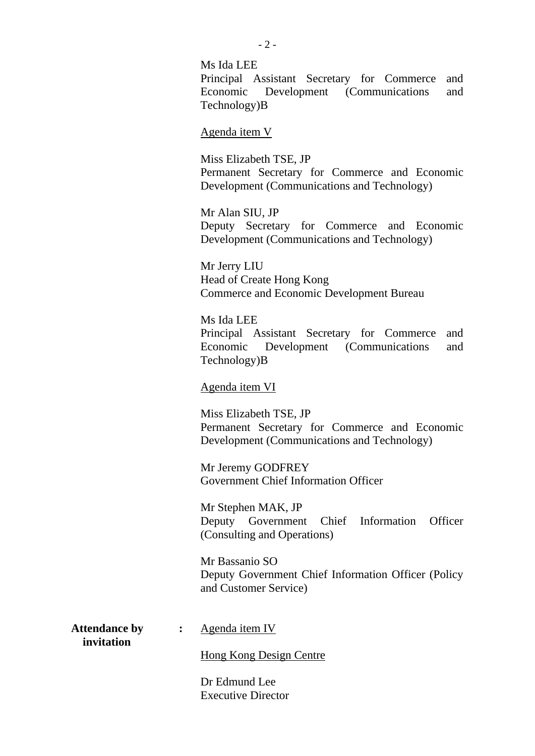Ms Ida LEE Principal Assistant Secretary for Commerce and Economic Development (Communications and Technology)B

Agenda item V

Miss Elizabeth TSE, JP Permanent Secretary for Commerce and Economic Development (Communications and Technology)

Mr Alan SIU, JP Deputy Secretary for Commerce and Economic Development (Communications and Technology)

Mr Jerry LIU Head of Create Hong Kong Commerce and Economic Development Bureau

Ms Ida LEE Principal Assistant Secretary for Commerce and Economic Development (Communications and Technology)B

Agenda item VI

Miss Elizabeth TSE, JP Permanent Secretary for Commerce and Economic Development (Communications and Technology)

Mr Jeremy GODFREY Government Chief Information Officer

Mr Stephen MAK, JP Deputy Government Chief Information Officer (Consulting and Operations)

Mr Bassanio SO Deputy Government Chief Information Officer (Policy and Customer Service)

 **invitation** 

Attendance by : Agenda item IV

Hong Kong Design Centre

Dr Edmund Lee Executive Director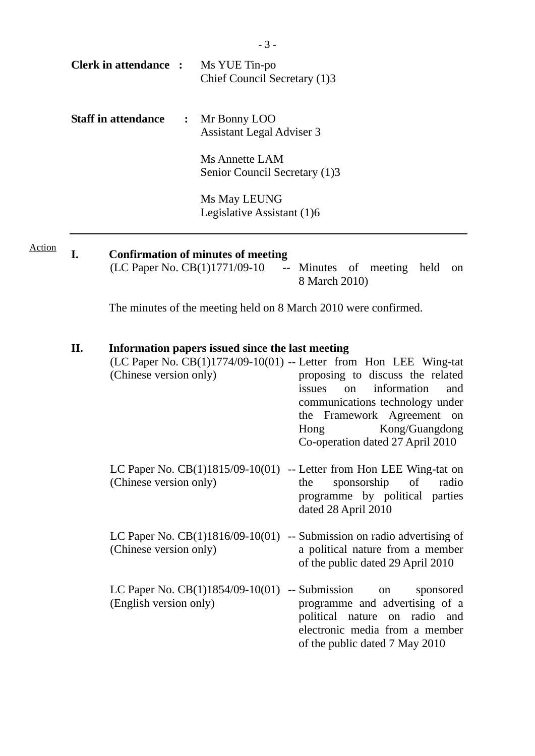|        |     | <b>Clerk in attendance :</b>                                                                                                                                                                                                                                                                                                                                 | Ms YUE Tin-po<br>Chief Council Secretary (1)3                              |                                                                                                                                                                            |  |  |
|--------|-----|--------------------------------------------------------------------------------------------------------------------------------------------------------------------------------------------------------------------------------------------------------------------------------------------------------------------------------------------------------------|----------------------------------------------------------------------------|----------------------------------------------------------------------------------------------------------------------------------------------------------------------------|--|--|
|        |     | <b>Staff in attendance</b><br>$\ddot{\cdot}$                                                                                                                                                                                                                                                                                                                 | Mr Bonny LOO<br><b>Assistant Legal Adviser 3</b>                           |                                                                                                                                                                            |  |  |
|        |     |                                                                                                                                                                                                                                                                                                                                                              | <b>Ms Annette LAM</b><br>Senior Council Secretary (1)3                     |                                                                                                                                                                            |  |  |
|        |     |                                                                                                                                                                                                                                                                                                                                                              | Ms May LEUNG<br>Legislative Assistant (1)6                                 |                                                                                                                                                                            |  |  |
| Action | I.  |                                                                                                                                                                                                                                                                                                                                                              | <b>Confirmation of minutes of meeting</b><br>(LC Paper No. CB(1)1771/09-10 | -- Minutes of meeting held<br><sub>on</sub><br>8 March 2010)                                                                                                               |  |  |
|        |     |                                                                                                                                                                                                                                                                                                                                                              |                                                                            | The minutes of the meeting held on 8 March 2010 were confirmed.                                                                                                            |  |  |
|        | II. | Information papers issued since the last meeting<br>$(LC$ Paper No. $CB(1)1774/09-10(01)$ -- Letter from Hon LEE Wing-tat<br>(Chinese version only)<br>proposing to discuss the related<br>information<br>issues<br>and<br>on<br>communications technology under<br>the Framework Agreement on<br>Kong/Guangdong<br>Hong<br>Co-operation dated 27 April 2010 |                                                                            |                                                                                                                                                                            |  |  |
|        |     | (Chinese version only)                                                                                                                                                                                                                                                                                                                                       |                                                                            | LC Paper No. $CB(1)1815/09-10(01)$ -- Letter from Hon LEE Wing-tat on<br>sponsorship<br>of<br>the<br>radio<br>programme by political parties<br>dated 28 April 2010        |  |  |
|        |     | (Chinese version only)                                                                                                                                                                                                                                                                                                                                       | LC Paper No. $CB(1)1816/09-10(01)$                                         | -- Submission on radio advertising of<br>a political nature from a member<br>of the public dated 29 April 2010                                                             |  |  |
|        |     | (English version only)                                                                                                                                                                                                                                                                                                                                       | LC Paper No. $CB(1)1854/09-10(01)$                                         | -- Submission<br>sponsored<br>on<br>programme and advertising of a<br>political nature on radio<br>and<br>electronic media from a member<br>of the public dated 7 May 2010 |  |  |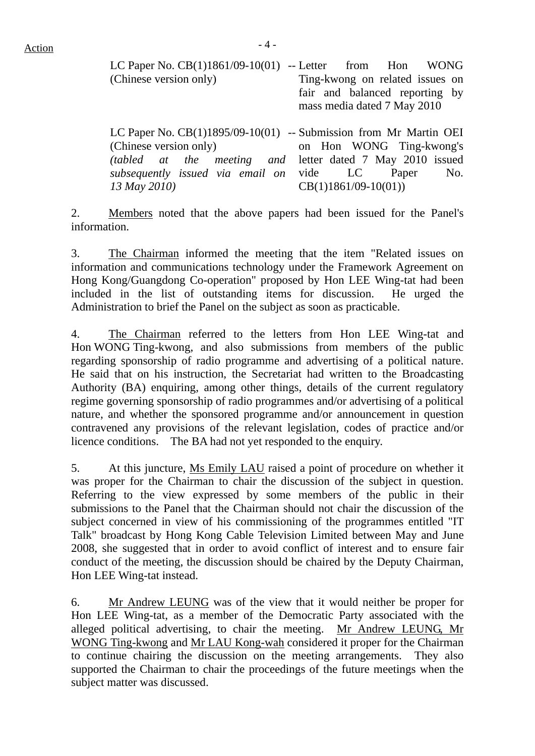| LC Paper No. $CB(1)1861/09-10(01)$ -- Letter from Hon WONG        |                                                               |  |  |
|-------------------------------------------------------------------|---------------------------------------------------------------|--|--|
| (Chinese version only)                                            | Ting-kwong on related issues on                               |  |  |
|                                                                   | fair and balanced reporting by<br>mass media dated 7 May 2010 |  |  |
| LC Paper No. CB(1)1895/09-10(01) -- Submission from Mr Martin OEI |                                                               |  |  |
| (Chinese version only)                                            | on Hon WONG Ting-kwong's                                      |  |  |

*(tabled at the meeting and subsequently issued via email on 13 May 2010)*  letter dated 7 May 2010 issued vide LC Paper No. CB(1)1861/09-10(01))

2. Members noted that the above papers had been issued for the Panel's information.

3. The Chairman informed the meeting that the item "Related issues on information and communications technology under the Framework Agreement on Hong Kong/Guangdong Co-operation" proposed by Hon LEE Wing-tat had been included in the list of outstanding items for discussion. He urged the Administration to brief the Panel on the subject as soon as practicable.

4. The Chairman referred to the letters from Hon LEE Wing-tat and Hon WONG Ting-kwong, and also submissions from members of the public regarding sponsorship of radio programme and advertising of a political nature. He said that on his instruction, the Secretariat had written to the Broadcasting Authority (BA) enquiring, among other things, details of the current regulatory regime governing sponsorship of radio programmes and/or advertising of a political nature, and whether the sponsored programme and/or announcement in question contravened any provisions of the relevant legislation, codes of practice and/or licence conditions. The BA had not yet responded to the enquiry.

5. At this juncture, Ms Emily LAU raised a point of procedure on whether it was proper for the Chairman to chair the discussion of the subject in question. Referring to the view expressed by some members of the public in their submissions to the Panel that the Chairman should not chair the discussion of the subject concerned in view of his commissioning of the programmes entitled "IT Talk" broadcast by Hong Kong Cable Television Limited between May and June 2008, she suggested that in order to avoid conflict of interest and to ensure fair conduct of the meeting, the discussion should be chaired by the Deputy Chairman, Hon LEE Wing-tat instead.

6. Mr Andrew LEUNG was of the view that it would neither be proper for Hon LEE Wing-tat, as a member of the Democratic Party associated with the alleged political advertising, to chair the meeting. Mr Andrew LEUNG, Mr WONG Ting-kwong and Mr LAU Kong-wah considered it proper for the Chairman to continue chairing the discussion on the meeting arrangements. They also supported the Chairman to chair the proceedings of the future meetings when the subject matter was discussed.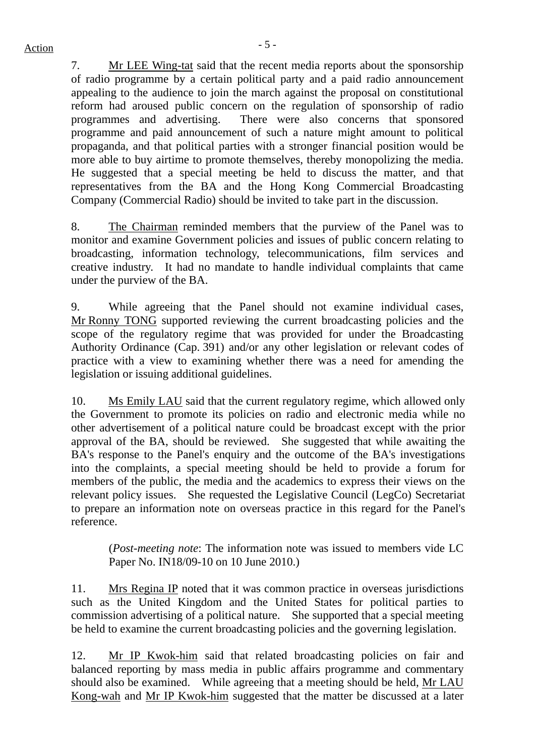7. Mr LEE Wing-tat said that the recent media reports about the sponsorship of radio programme by a certain political party and a paid radio announcement appealing to the audience to join the march against the proposal on constitutional reform had aroused public concern on the regulation of sponsorship of radio programmes and advertising. There were also concerns that sponsored programme and paid announcement of such a nature might amount to political propaganda, and that political parties with a stronger financial position would be more able to buy airtime to promote themselves, thereby monopolizing the media. He suggested that a special meeting be held to discuss the matter, and that representatives from the BA and the Hong Kong Commercial Broadcasting Company (Commercial Radio) should be invited to take part in the discussion.

8. The Chairman reminded members that the purview of the Panel was to monitor and examine Government policies and issues of public concern relating to broadcasting, information technology, telecommunications, film services and creative industry. It had no mandate to handle individual complaints that came under the purview of the BA.

9. While agreeing that the Panel should not examine individual cases, Mr Ronny TONG supported reviewing the current broadcasting policies and the scope of the regulatory regime that was provided for under the Broadcasting Authority Ordinance (Cap. 391) and/or any other legislation or relevant codes of practice with a view to examining whether there was a need for amending the legislation or issuing additional guidelines.

10. Ms Emily LAU said that the current regulatory regime, which allowed only the Government to promote its policies on radio and electronic media while no other advertisement of a political nature could be broadcast except with the prior approval of the BA, should be reviewed. She suggested that while awaiting the BA's response to the Panel's enquiry and the outcome of the BA's investigations into the complaints, a special meeting should be held to provide a forum for members of the public, the media and the academics to express their views on the relevant policy issues. She requested the Legislative Council (LegCo) Secretariat to prepare an information note on overseas practice in this regard for the Panel's reference.

(*Post-meeting note*: The information note was issued to members vide LC Paper No. IN18/09-10 on 10 June 2010.)

11. Mrs Regina IP noted that it was common practice in overseas jurisdictions such as the United Kingdom and the United States for political parties to commission advertising of a political nature. She supported that a special meeting be held to examine the current broadcasting policies and the governing legislation.

12. Mr IP Kwok-him said that related broadcasting policies on fair and balanced reporting by mass media in public affairs programme and commentary should also be examined. While agreeing that a meeting should be held, Mr LAU Kong-wah and Mr IP Kwok-him suggested that the matter be discussed at a later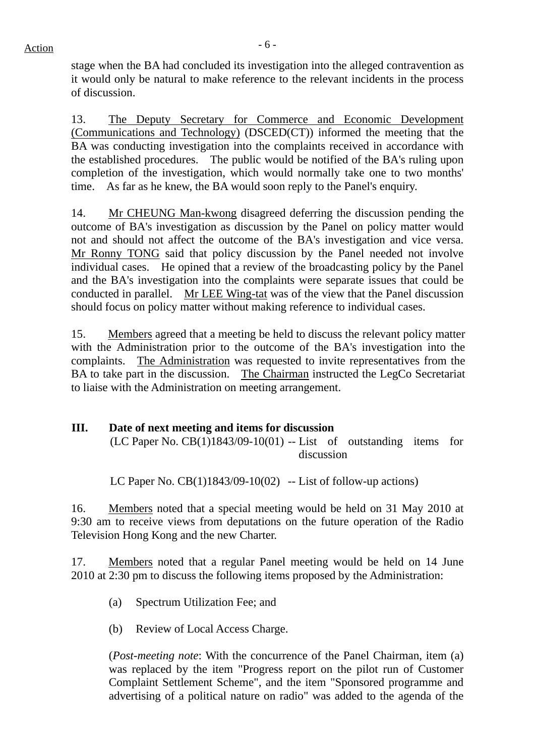stage when the BA had concluded its investigation into the alleged contravention as it would only be natural to make reference to the relevant incidents in the process of discussion.

13. The Deputy Secretary for Commerce and Economic Development (Communications and Technology) (DSCED(CT)) informed the meeting that the BA was conducting investigation into the complaints received in accordance with the established procedures. The public would be notified of the BA's ruling upon completion of the investigation, which would normally take one to two months' time. As far as he knew, the BA would soon reply to the Panel's enquiry.

14. Mr CHEUNG Man-kwong disagreed deferring the discussion pending the outcome of BA's investigation as discussion by the Panel on policy matter would not and should not affect the outcome of the BA's investigation and vice versa. Mr Ronny TONG said that policy discussion by the Panel needed not involve individual cases. He opined that a review of the broadcasting policy by the Panel and the BA's investigation into the complaints were separate issues that could be conducted in parallel. Mr LEE Wing-tat was of the view that the Panel discussion should focus on policy matter without making reference to individual cases.

15. Members agreed that a meeting be held to discuss the relevant policy matter with the Administration prior to the outcome of the BA's investigation into the complaints. The Administration was requested to invite representatives from the BA to take part in the discussion. The Chairman instructed the LegCo Secretariat to liaise with the Administration on meeting arrangement.

## **III. Date of next meeting and items for discussion**

 $(LC$  Paper No.  $CB(1)1843/09-10(01)$  -- List of outstanding items for discussion

LC Paper No.  $CB(1)1843/09-10(02)$  -- List of follow-up actions)

16. Members noted that a special meeting would be held on 31 May 2010 at 9:30 am to receive views from deputations on the future operation of the Radio Television Hong Kong and the new Charter.

17. Members noted that a regular Panel meeting would be held on 14 June 2010 at 2:30 pm to discuss the following items proposed by the Administration:

- (a) Spectrum Utilization Fee; and
- (b) Review of Local Access Charge.

(*Post-meeting note*: With the concurrence of the Panel Chairman, item (a) was replaced by the item "Progress report on the pilot run of Customer Complaint Settlement Scheme", and the item "Sponsored programme and advertising of a political nature on radio" was added to the agenda of the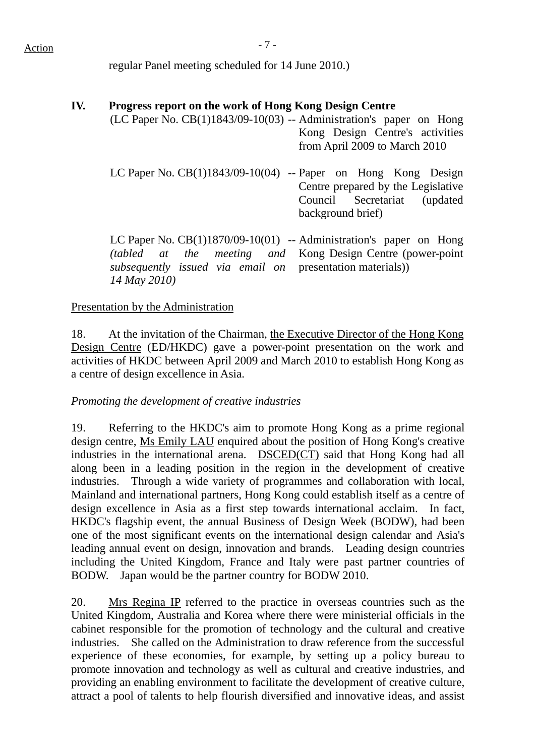# $Action$

regular Panel meeting scheduled for 14 June 2010.)

## **IV. Progress report on the work of Hong Kong Design Centre**

- $(LC$  Paper No.  $CB(1)1843/09-10(03)$  -- Administration's paper on Hong Kong Design Centre's activities from April 2009 to March 2010
	- LC Paper No.  $CB(1)1843/09-10(04)$  -- Paper on Hong Kong Design Centre prepared by the Legislative Council Secretariat (updated background brief)

LC Paper No. CB(1)1870/09-10(01) -- Administration's paper on Hong *(tabled at the meeting and subsequently issued via email on 14 May 2010)*  Kong Design Centre (power-point presentation materials))

#### Presentation by the Administration

18. At the invitation of the Chairman, the Executive Director of the Hong Kong Design Centre (ED/HKDC) gave a power-point presentation on the work and activities of HKDC between April 2009 and March 2010 to establish Hong Kong as a centre of design excellence in Asia.

#### *Promoting the development of creative industries*

19. Referring to the HKDC's aim to promote Hong Kong as a prime regional design centre, Ms Emily LAU enquired about the position of Hong Kong's creative industries in the international arena. DSCED(CT) said that Hong Kong had all along been in a leading position in the region in the development of creative industries. Through a wide variety of programmes and collaboration with local, Mainland and international partners, Hong Kong could establish itself as a centre of design excellence in Asia as a first step towards international acclaim. In fact, HKDC's flagship event, the annual Business of Design Week (BODW), had been one of the most significant events on the international design calendar and Asia's leading annual event on design, innovation and brands. Leading design countries including the United Kingdom, France and Italy were past partner countries of BODW. Japan would be the partner country for BODW 2010.

20. Mrs Regina IP referred to the practice in overseas countries such as the United Kingdom, Australia and Korea where there were ministerial officials in the cabinet responsible for the promotion of technology and the cultural and creative industries. She called on the Administration to draw reference from the successful experience of these economies, for example, by setting up a policy bureau to promote innovation and technology as well as cultural and creative industries, and providing an enabling environment to facilitate the development of creative culture, attract a pool of talents to help flourish diversified and innovative ideas, and assist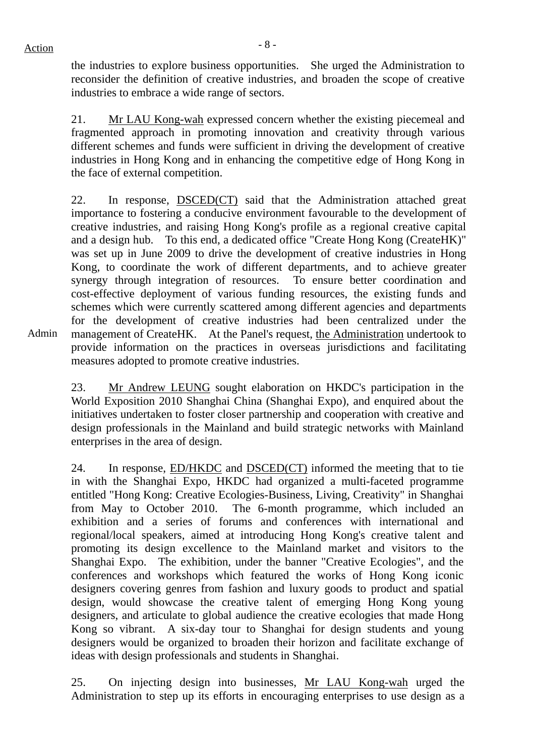the industries to explore business opportunities. She urged the Administration to reconsider the definition of creative industries, and broaden the scope of creative industries to embrace a wide range of sectors.

21. Mr LAU Kong-wah expressed concern whether the existing piecemeal and fragmented approach in promoting innovation and creativity through various different schemes and funds were sufficient in driving the development of creative industries in Hong Kong and in enhancing the competitive edge of Hong Kong in the face of external competition.

22. In response, DSCED(CT) said that the Administration attached great importance to fostering a conducive environment favourable to the development of creative industries, and raising Hong Kong's profile as a regional creative capital and a design hub. To this end, a dedicated office "Create Hong Kong (CreateHK)" was set up in June 2009 to drive the development of creative industries in Hong Kong, to coordinate the work of different departments, and to achieve greater synergy through integration of resources. To ensure better coordination and cost-effective deployment of various funding resources, the existing funds and schemes which were currently scattered among different agencies and departments for the development of creative industries had been centralized under the management of CreateHK. At the Panel's request, the Administration undertook to provide information on the practices in overseas jurisdictions and facilitating measures adopted to promote creative industries.

23. Mr Andrew LEUNG sought elaboration on HKDC's participation in the World Exposition 2010 Shanghai China (Shanghai Expo), and enquired about the initiatives undertaken to foster closer partnership and cooperation with creative and design professionals in the Mainland and build strategic networks with Mainland enterprises in the area of design.

24. In response, ED/HKDC and DSCED(CT) informed the meeting that to tie in with the Shanghai Expo, HKDC had organized a multi-faceted programme entitled "Hong Kong: Creative Ecologies-Business, Living, Creativity" in Shanghai from May to October 2010. The 6-month programme, which included an exhibition and a series of forums and conferences with international and regional/local speakers, aimed at introducing Hong Kong's creative talent and promoting its design excellence to the Mainland market and visitors to the Shanghai Expo. The exhibition, under the banner "Creative Ecologies", and the conferences and workshops which featured the works of Hong Kong iconic designers covering genres from fashion and luxury goods to product and spatial design, would showcase the creative talent of emerging Hong Kong young designers, and articulate to global audience the creative ecologies that made Hong Kong so vibrant. A six-day tour to Shanghai for design students and young designers would be organized to broaden their horizon and facilitate exchange of ideas with design professionals and students in Shanghai.

25. On injecting design into businesses, Mr LAU Kong-wah urged the Administration to step up its efforts in encouraging enterprises to use design as a

Admin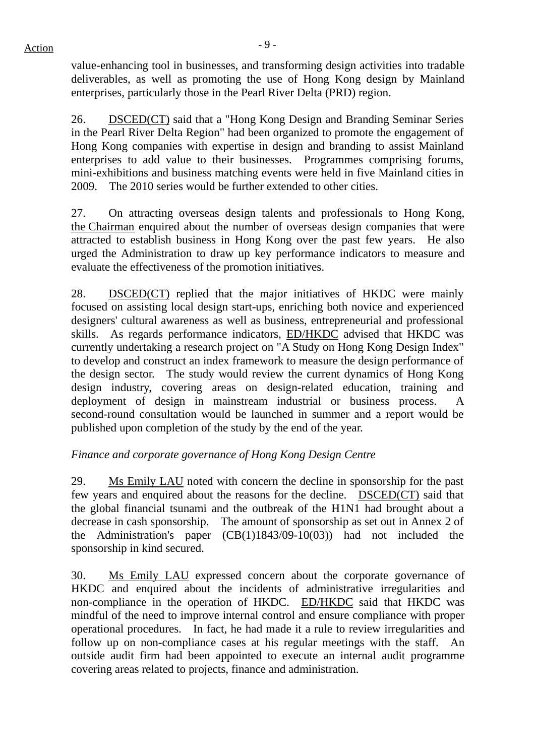value-enhancing tool in businesses, and transforming design activities into tradable deliverables, as well as promoting the use of Hong Kong design by Mainland enterprises, particularly those in the Pearl River Delta (PRD) region.

26. DSCED(CT) said that a "Hong Kong Design and Branding Seminar Series in the Pearl River Delta Region" had been organized to promote the engagement of Hong Kong companies with expertise in design and branding to assist Mainland enterprises to add value to their businesses. Programmes comprising forums, mini-exhibitions and business matching events were held in five Mainland cities in 2009. The 2010 series would be further extended to other cities.

27. On attracting overseas design talents and professionals to Hong Kong, the Chairman enquired about the number of overseas design companies that were attracted to establish business in Hong Kong over the past few years. He also urged the Administration to draw up key performance indicators to measure and evaluate the effectiveness of the promotion initiatives.

28. DSCED(CT) replied that the major initiatives of HKDC were mainly focused on assisting local design start-ups, enriching both novice and experienced designers' cultural awareness as well as business, entrepreneurial and professional skills. As regards performance indicators, ED/HKDC advised that HKDC was currently undertaking a research project on "A Study on Hong Kong Design Index" to develop and construct an index framework to measure the design performance of the design sector. The study would review the current dynamics of Hong Kong design industry, covering areas on design-related education, training and deployment of design in mainstream industrial or business process. A second-round consultation would be launched in summer and a report would be published upon completion of the study by the end of the year.

## *Finance and corporate governance of Hong Kong Design Centre*

29. Ms Emily LAU noted with concern the decline in sponsorship for the past few years and enquired about the reasons for the decline. DSCED(CT) said that the global financial tsunami and the outbreak of the H1N1 had brought about a decrease in cash sponsorship. The amount of sponsorship as set out in Annex 2 of the Administration's paper (CB(1)1843/09-10(03)) had not included the sponsorship in kind secured.

30. Ms Emily LAU expressed concern about the corporate governance of HKDC and enquired about the incidents of administrative irregularities and non-compliance in the operation of HKDC. ED/HKDC said that HKDC was mindful of the need to improve internal control and ensure compliance with proper operational procedures. In fact, he had made it a rule to review irregularities and follow up on non-compliance cases at his regular meetings with the staff. An outside audit firm had been appointed to execute an internal audit programme covering areas related to projects, finance and administration.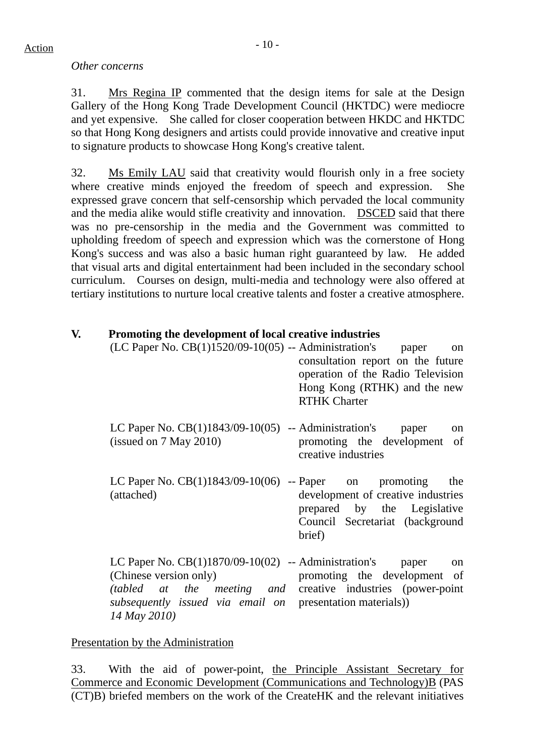### *Other concerns*

31. Mrs Regina IP commented that the design items for sale at the Design Gallery of the Hong Kong Trade Development Council (HKTDC) were mediocre and yet expensive. She called for closer cooperation between HKDC and HKTDC so that Hong Kong designers and artists could provide innovative and creative input to signature products to showcase Hong Kong's creative talent.

32. Ms Emily LAU said that creativity would flourish only in a free society where creative minds enjoyed the freedom of speech and expression. She expressed grave concern that self-censorship which pervaded the local community and the media alike would stifle creativity and innovation. DSCED said that there was no pre-censorship in the media and the Government was committed to upholding freedom of speech and expression which was the cornerstone of Hong Kong's success and was also a basic human right guaranteed by law. He added that visual arts and digital entertainment had been included in the secondary school curriculum. Courses on design, multi-media and technology were also offered at tertiary institutions to nurture local creative talents and foster a creative atmosphere.

## **V. Promoting the development of local creative industries**

| $(LC$ Paper No. $CB(1)1520/09-10(05)$ -- Administration's                                                                                                                                                                           | paper<br>on<br>consultation report on the future<br>operation of the Radio Television<br>Hong Kong (RTHK) and the new<br><b>RTHK Charter</b> |
|-------------------------------------------------------------------------------------------------------------------------------------------------------------------------------------------------------------------------------------|----------------------------------------------------------------------------------------------------------------------------------------------|
| LC Paper No. $CB(1)1843/09-10(05)$ -- Administration's paper<br>$($ issued on 7 May 2010)                                                                                                                                           | <sub>on</sub><br>promoting the development<br>of<br>creative industries                                                                      |
| LC Paper No. $CB(1)1843/09-10(06)$ -- Paper on promoting<br>(attached)                                                                                                                                                              | the<br>development of creative industries<br>prepared by the Legislative<br>Council Secretariat (background<br>brief)                        |
| LC Paper No. $CB(1)1870/09-10(02)$ -- Administration's paper<br>(Chinese version only)<br>(tabled at the meeting and creative industries (power-point)<br>subsequently issued via email on presentation materials))<br>14 May 2010) | <sub>on</sub><br>promoting the development of                                                                                                |

## Presentation by the Administration

33. With the aid of power-point, the Principle Assistant Secretary for Commerce and Economic Development (Communications and Technology)B (PAS (CT)B) briefed members on the work of the CreateHK and the relevant initiatives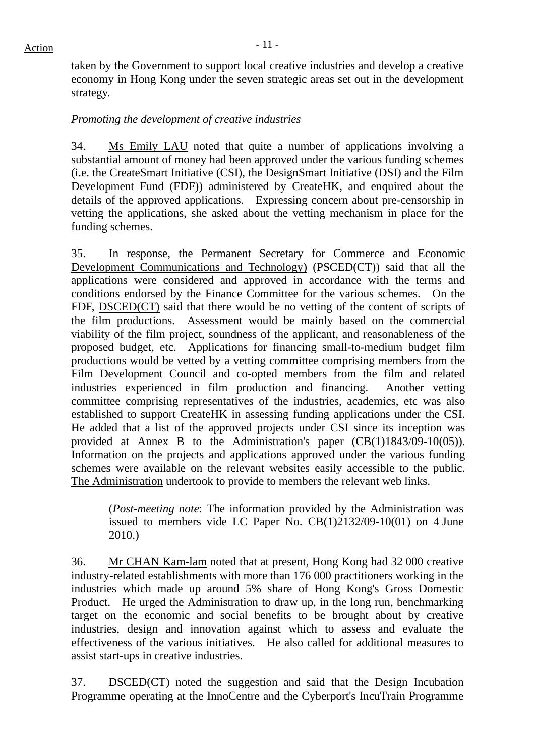taken by the Government to support local creative industries and develop a creative economy in Hong Kong under the seven strategic areas set out in the development strategy.

## *Promoting the development of creative industries*

34. Ms Emily LAU noted that quite a number of applications involving a substantial amount of money had been approved under the various funding schemes (i.e. the CreateSmart Initiative (CSI), the DesignSmart Initiative (DSI) and the Film Development Fund (FDF)) administered by CreateHK, and enquired about the details of the approved applications. Expressing concern about pre-censorship in vetting the applications, she asked about the vetting mechanism in place for the funding schemes.

35. In response, the Permanent Secretary for Commerce and Economic Development Communications and Technology) (PSCED(CT)) said that all the applications were considered and approved in accordance with the terms and conditions endorsed by the Finance Committee for the various schemes. On the FDF, DSCED(CT) said that there would be no vetting of the content of scripts of the film productions. Assessment would be mainly based on the commercial viability of the film project, soundness of the applicant, and reasonableness of the proposed budget, etc. Applications for financing small-to-medium budget film productions would be vetted by a vetting committee comprising members from the Film Development Council and co-opted members from the film and related industries experienced in film production and financing. Another vetting committee comprising representatives of the industries, academics, etc was also established to support CreateHK in assessing funding applications under the CSI. He added that a list of the approved projects under CSI since its inception was provided at Annex B to the Administration's paper (CB(1)1843/09-10(05)). Information on the projects and applications approved under the various funding schemes were available on the relevant websites easily accessible to the public. The Administration undertook to provide to members the relevant web links.

(*Post-meeting note*: The information provided by the Administration was issued to members vide LC Paper No. CB(1)2132/09-10(01) on 4 June 2010.)

36. Mr CHAN Kam-lam noted that at present, Hong Kong had 32 000 creative industry-related establishments with more than 176 000 practitioners working in the industries which made up around 5% share of Hong Kong's Gross Domestic Product. He urged the Administration to draw up, in the long run, benchmarking target on the economic and social benefits to be brought about by creative industries, design and innovation against which to assess and evaluate the effectiveness of the various initiatives. He also called for additional measures to assist start-ups in creative industries.

37. DSCED(CT) noted the suggestion and said that the Design Incubation Programme operating at the InnoCentre and the Cyberport's IncuTrain Programme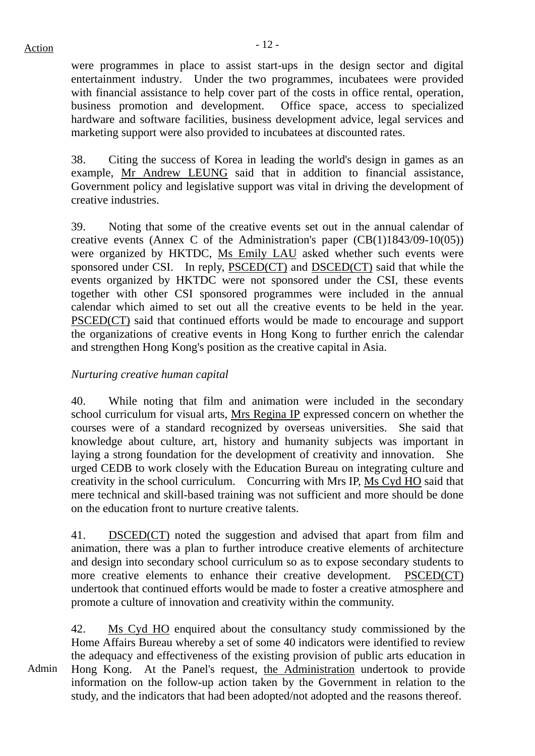$Action$ 

were programmes in place to assist start-ups in the design sector and digital entertainment industry. Under the two programmes, incubatees were provided with financial assistance to help cover part of the costs in office rental, operation, business promotion and development. Office space, access to specialized hardware and software facilities, business development advice, legal services and marketing support were also provided to incubatees at discounted rates.

38. Citing the success of Korea in leading the world's design in games as an example, Mr Andrew LEUNG said that in addition to financial assistance, Government policy and legislative support was vital in driving the development of creative industries.

39. Noting that some of the creative events set out in the annual calendar of creative events (Annex C of the Administration's paper (CB(1)1843/09-10(05)) were organized by HKTDC, Ms Emily LAU asked whether such events were sponsored under CSI. In reply, PSCED(CT) and DSCED(CT) said that while the events organized by HKTDC were not sponsored under the CSI, these events together with other CSI sponsored programmes were included in the annual calendar which aimed to set out all the creative events to be held in the year. PSCED(CT) said that continued efforts would be made to encourage and support the organizations of creative events in Hong Kong to further enrich the calendar and strengthen Hong Kong's position as the creative capital in Asia.

## *Nurturing creative human capital*

40. While noting that film and animation were included in the secondary school curriculum for visual arts, Mrs Regina IP expressed concern on whether the courses were of a standard recognized by overseas universities. She said that knowledge about culture, art, history and humanity subjects was important in laying a strong foundation for the development of creativity and innovation. She urged CEDB to work closely with the Education Bureau on integrating culture and creativity in the school curriculum. Concurring with Mrs IP, Ms Cyd HO said that mere technical and skill-based training was not sufficient and more should be done on the education front to nurture creative talents.

41. DSCED(CT) noted the suggestion and advised that apart from film and animation, there was a plan to further introduce creative elements of architecture and design into secondary school curriculum so as to expose secondary students to more creative elements to enhance their creative development. PSCED(CT) undertook that continued efforts would be made to foster a creative atmosphere and promote a culture of innovation and creativity within the community.

Admin 42. Ms Cyd HO enquired about the consultancy study commissioned by the Home Affairs Bureau whereby a set of some 40 indicators were identified to review the adequacy and effectiveness of the existing provision of public arts education in Hong Kong. At the Panel's request, the Administration undertook to provide information on the follow-up action taken by the Government in relation to the study, and the indicators that had been adopted/not adopted and the reasons thereof.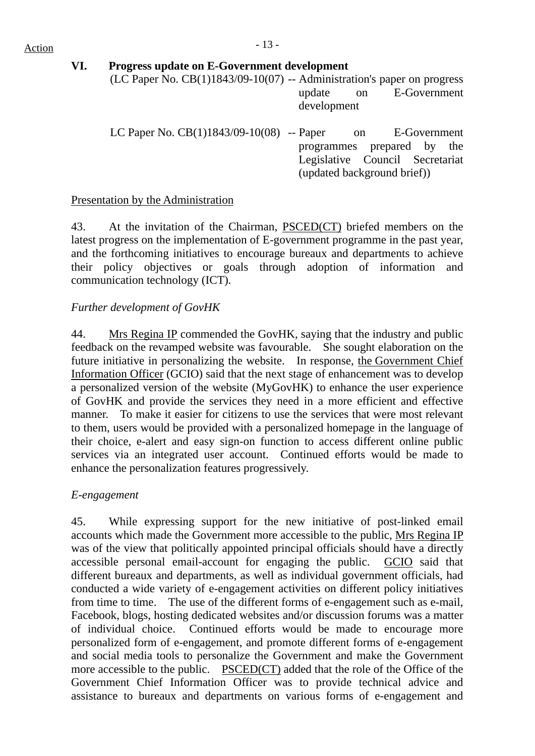# $Action$

## **VI. Progress update on E-Government development**

(LC Paper No.  $CB(1)1843/09-10(07)$  -- Administration's paper on progress update on E-Government development

| LC Paper No. $CB(1)1843/09-10(08)$ -- Paper |                                 |                             | on E-Government |  |  |
|---------------------------------------------|---------------------------------|-----------------------------|-----------------|--|--|
|                                             | programmes prepared by the      |                             |                 |  |  |
|                                             | Legislative Council Secretariat |                             |                 |  |  |
|                                             |                                 | (updated background brief)) |                 |  |  |

## Presentation by the Administration

43. At the invitation of the Chairman, PSCED(CT) briefed members on the latest progress on the implementation of E-government programme in the past year, and the forthcoming initiatives to encourage bureaux and departments to achieve their policy objectives or goals through adoption of information and communication technology (ICT).

## *Further development of GovHK*

44. Mrs Regina IP commended the GovHK, saying that the industry and public feedback on the revamped website was favourable. She sought elaboration on the future initiative in personalizing the website. In response, the Government Chief Information Officer (GCIO) said that the next stage of enhancement was to develop a personalized version of the website (MyGovHK) to enhance the user experience of GovHK and provide the services they need in a more efficient and effective manner. To make it easier for citizens to use the services that were most relevant to them, users would be provided with a personalized homepage in the language of their choice, e-alert and easy sign-on function to access different online public services via an integrated user account. Continued efforts would be made to enhance the personalization features progressively.

## *E-engagement*

45. While expressing support for the new initiative of post-linked email accounts which made the Government more accessible to the public, Mrs Regina IP was of the view that politically appointed principal officials should have a directly accessible personal email-account for engaging the public. GCIO said that different bureaux and departments, as well as individual government officials, had conducted a wide variety of e-engagement activities on different policy initiatives from time to time. The use of the different forms of e-engagement such as e-mail, Facebook, blogs, hosting dedicated websites and/or discussion forums was a matter of individual choice. Continued efforts would be made to encourage more personalized form of e-engagement, and promote different forms of e-engagement and social media tools to personalize the Government and make the Government more accessible to the public. PSCED(CT) added that the role of the Office of the Government Chief Information Officer was to provide technical advice and assistance to bureaux and departments on various forms of e-engagement and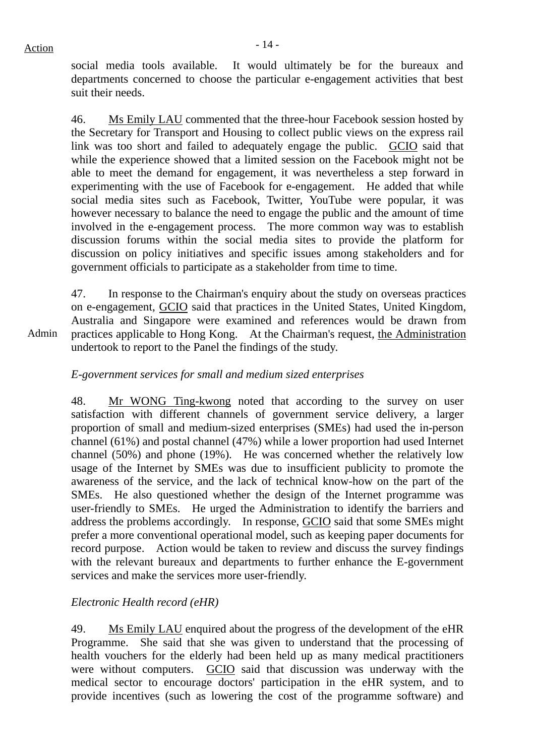social media tools available. It would ultimately be for the bureaux and departments concerned to choose the particular e-engagement activities that best suit their needs.

46. Ms Emily LAU commented that the three-hour Facebook session hosted by the Secretary for Transport and Housing to collect public views on the express rail link was too short and failed to adequately engage the public. GCIO said that while the experience showed that a limited session on the Facebook might not be able to meet the demand for engagement, it was nevertheless a step forward in experimenting with the use of Facebook for e-engagement. He added that while social media sites such as Facebook, Twitter, YouTube were popular, it was however necessary to balance the need to engage the public and the amount of time involved in the e-engagement process. The more common way was to establish discussion forums within the social media sites to provide the platform for discussion on policy initiatives and specific issues among stakeholders and for government officials to participate as a stakeholder from time to time.

47. In response to the Chairman's enquiry about the study on overseas practices on e-engagement, GCIO said that practices in the United States, United Kingdom, Australia and Singapore were examined and references would be drawn from practices applicable to Hong Kong. At the Chairman's request, the Administration undertook to report to the Panel the findings of the study.

## *E-government services for small and medium sized enterprises*

48. Mr WONG Ting-kwong noted that according to the survey on user satisfaction with different channels of government service delivery, a larger proportion of small and medium-sized enterprises (SMEs) had used the in-person channel (61%) and postal channel (47%) while a lower proportion had used Internet channel (50%) and phone (19%). He was concerned whether the relatively low usage of the Internet by SMEs was due to insufficient publicity to promote the awareness of the service, and the lack of technical know-how on the part of the SMEs. He also questioned whether the design of the Internet programme was user-friendly to SMEs. He urged the Administration to identify the barriers and address the problems accordingly. In response, GCIO said that some SMEs might prefer a more conventional operational model, such as keeping paper documents for record purpose. Action would be taken to review and discuss the survey findings with the relevant bureaux and departments to further enhance the E-government services and make the services more user-friendly.

## *Electronic Health record (eHR)*

49. Ms Emily LAU enquired about the progress of the development of the eHR Programme. She said that she was given to understand that the processing of health vouchers for the elderly had been held up as many medical practitioners were without computers. GCIO said that discussion was underway with the medical sector to encourage doctors' participation in the eHR system, and to provide incentives (such as lowering the cost of the programme software) and

Admin